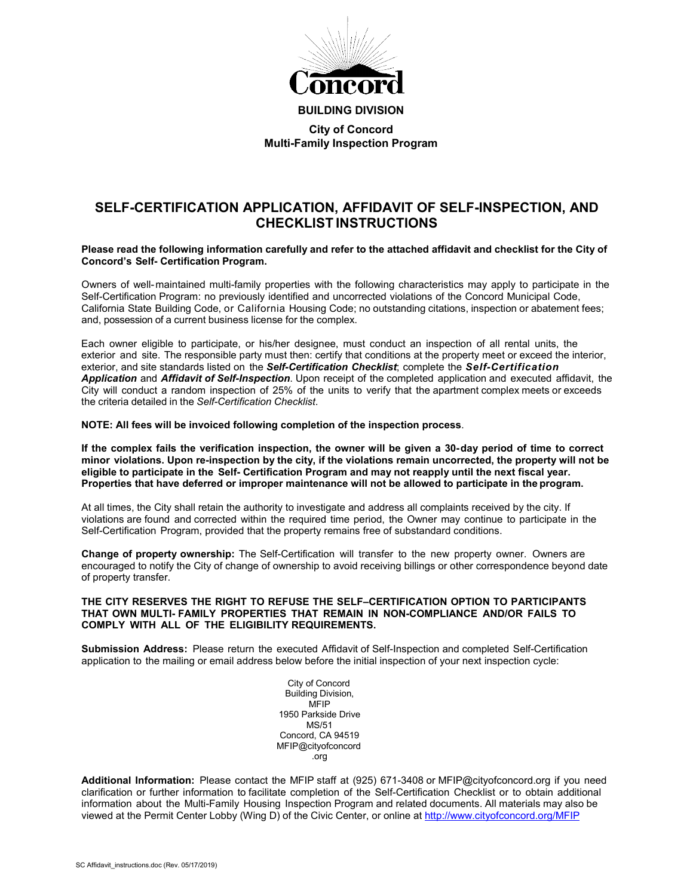

**BUILDING DIVISION City of Concord Multi-Family Inspection Program**

# **SELF-CERTIFICATION APPLICATION, AFFIDAVIT OF SELF-INSPECTION, AND CHECKLIST INSTRUCTIONS**

### **Please read the following information carefully and refer to the attached affidavit and checklist for the City of Concord's Self- Certification Program.**

Owners of well-maintained multi-family properties with the following characteristics may apply to participate in the Self-Certification Program: no previously identified and uncorrected violations of the Concord Municipal Code, California State Building Code, or California Housing Code; no outstanding citations, inspection or abatement fees; and, possession of a current business license for the complex.

Each owner eligible to participate, or his/her designee, must conduct an inspection of all rental units, the exterior and site. The responsible party must then: certify that conditions at the property meet or exceed the interior, exterior, and site standards listed on the *Self-Certification Checklist*; complete the *Self-Certification Application* and *Affidavit of Self-Inspection*. Upon receipt of the completed application and executed affidavit, the City will conduct a random inspection of 25% of the units to verify that the apartment complex meets or exceeds the criteria detailed in the *Self-Certification Checklist*.

**NOTE: All fees will be invoiced following completion of the inspection process**.

If the complex fails the verification inspection, the owner will be given a 30-day period of time to correct **minor violations. Upon re-inspection by the city, if the violations remain uncorrected, the property will not be eligible to participate in the Self- Certification Program and may not reapply until the next fiscal year. Properties that have deferred or improper maintenance will not be allowed to participate in the program.**

At all times, the City shall retain the authority to investigate and address all complaints received by the city. If violations are found and corrected within the required time period, the Owner may continue to participate in the Self-Certification Program, provided that the property remains free of substandard conditions.

**Change of property ownership:** The Self-Certification will transfer to the new property owner. Owners are encouraged to notify the City of change of ownership to avoid receiving billings or other correspondence beyond date of property transfer.

### **THE CITY RESERVES THE RIGHT TO REFUSE THE SELF–CERTIFICATION OPTION TO PARTICIPANTS THAT OWN MULTI- FAMILY PROPERTIES THAT REMAIN IN NON-COMPLIANCE AND/OR FAILS TO COMPLY WITH ALL OF THE ELIGIBILITY REQUIREMENTS.**

**Submission Address:** Please return the executed Affidavit of Self-Inspection and completed Self-Certification application to the mailing or email address below before the initial inspection of your next inspection cycle:

> City of Concord Building Division, MFIP 1950 Parkside Drive MS/51 Concord, CA 94519 MFIP@cityofconcord .org

**Additional Information:** Please contact the MFIP staff at (925) 671-3408 or MFIP@cityofconcord.org if you need clarification or further information to facilitate completion of the Self-Certification Checklist or to obtain additional information about the Multi-Family Housing Inspection Program and related documents. All materials may also be viewed at the Permit Center Lobby (Wing D) of the Civic Center, or online at<http://www.cityofconcord.org/MFIP>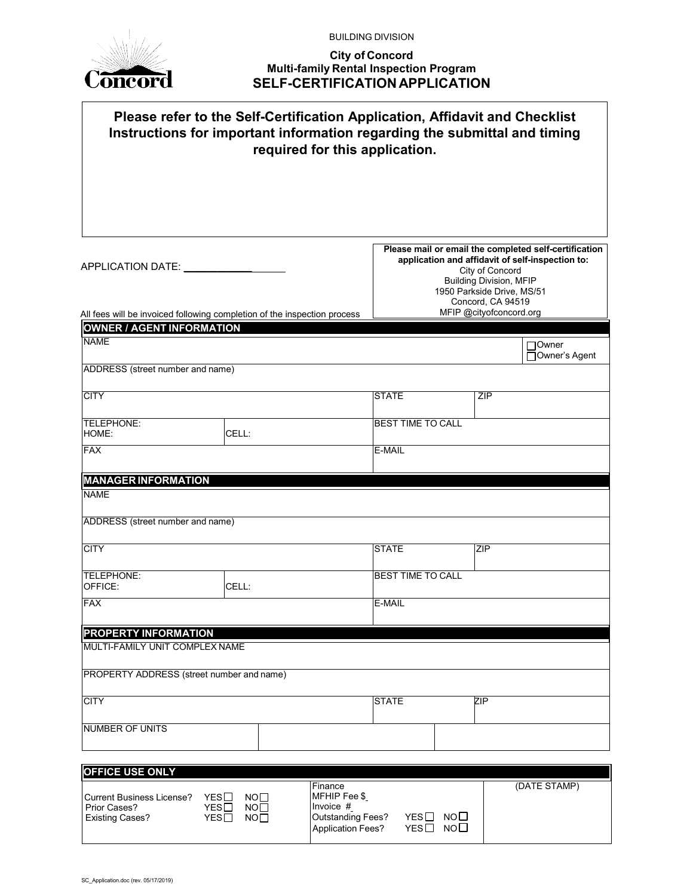

BUILDING DIVISION

### **City of Concord Multi-family Rental Inspection Program SELF-CERTIFICATIONAPPLICATION**

| Please refer to the Self-Certification Application, Affidavit and Checklist<br>Instructions for important information regarding the submittal and timing<br>required for this application.                                                                          |                                                   |                                                                                                                                                                                                                   |  |  |  |
|---------------------------------------------------------------------------------------------------------------------------------------------------------------------------------------------------------------------------------------------------------------------|---------------------------------------------------|-------------------------------------------------------------------------------------------------------------------------------------------------------------------------------------------------------------------|--|--|--|
|                                                                                                                                                                                                                                                                     |                                                   |                                                                                                                                                                                                                   |  |  |  |
| APPLICATION DATE: _________                                                                                                                                                                                                                                         |                                                   | Please mail or email the completed self-certification<br>application and affidavit of self-inspection to:<br>City of Concord<br><b>Building Division, MFIP</b><br>1950 Parkside Drive, MS/51<br>Concord, CA 94519 |  |  |  |
| All fees will be invoiced following completion of the inspection process                                                                                                                                                                                            |                                                   | MFIP @cityofconcord.org                                                                                                                                                                                           |  |  |  |
| <b>OWNER / AGENT INFORMATION</b>                                                                                                                                                                                                                                    |                                                   |                                                                                                                                                                                                                   |  |  |  |
| <b>NAME</b><br>ADDRESS (street number and name)                                                                                                                                                                                                                     |                                                   | Owner<br>Owner's Agent                                                                                                                                                                                            |  |  |  |
| <b>CITY</b>                                                                                                                                                                                                                                                         | <b>STATE</b>                                      | ZIP                                                                                                                                                                                                               |  |  |  |
| TELEPHONE:<br>HOME:<br>CELL:                                                                                                                                                                                                                                        | <b>BEST TIME TO CALL</b>                          |                                                                                                                                                                                                                   |  |  |  |
| <b>FAX</b>                                                                                                                                                                                                                                                          | E-MAIL                                            |                                                                                                                                                                                                                   |  |  |  |
| <b>MANAGER INFORMATION</b><br><b>NAME</b>                                                                                                                                                                                                                           |                                                   |                                                                                                                                                                                                                   |  |  |  |
| ADDRESS (street number and name)                                                                                                                                                                                                                                    |                                                   |                                                                                                                                                                                                                   |  |  |  |
| <b>CITY</b>                                                                                                                                                                                                                                                         | <b>STATE</b>                                      | ZIP                                                                                                                                                                                                               |  |  |  |
| TELEPHONE:<br>OFFICE:<br>CELL:                                                                                                                                                                                                                                      | <b>BEST TIME TO CALL</b>                          |                                                                                                                                                                                                                   |  |  |  |
| <b>FAX</b>                                                                                                                                                                                                                                                          | E-MAIL                                            |                                                                                                                                                                                                                   |  |  |  |
| PROPERTY INFORMATION                                                                                                                                                                                                                                                |                                                   |                                                                                                                                                                                                                   |  |  |  |
| MULTI-FAMILY UNIT COMPLEX NAME                                                                                                                                                                                                                                      |                                                   |                                                                                                                                                                                                                   |  |  |  |
| PROPERTY ADDRESS (street number and name)                                                                                                                                                                                                                           |                                                   |                                                                                                                                                                                                                   |  |  |  |
| <b>CITY</b>                                                                                                                                                                                                                                                         | <b>STATE</b>                                      | ZIP                                                                                                                                                                                                               |  |  |  |
| <b>NUMBER OF UNITS</b>                                                                                                                                                                                                                                              |                                                   |                                                                                                                                                                                                                   |  |  |  |
| <b>OFFICE USE ONLY</b>                                                                                                                                                                                                                                              |                                                   |                                                                                                                                                                                                                   |  |  |  |
| Finance<br>MFHIP Fee \$<br>$YES$ $\Box$<br><b>Current Business License?</b><br>NO <sub>1</sub><br>Invoice #<br>Prior Cases?<br>YES□<br>NO <sub>1</sub><br><b>Outstanding Fees?</b><br>YES□<br>NO <sub>1</sub><br><b>Existing Cases?</b><br><b>Application Fees?</b> | NO <sub>1</sub><br>YES□<br>NO <sub>1</sub><br>YES | (DATE STAMP)                                                                                                                                                                                                      |  |  |  |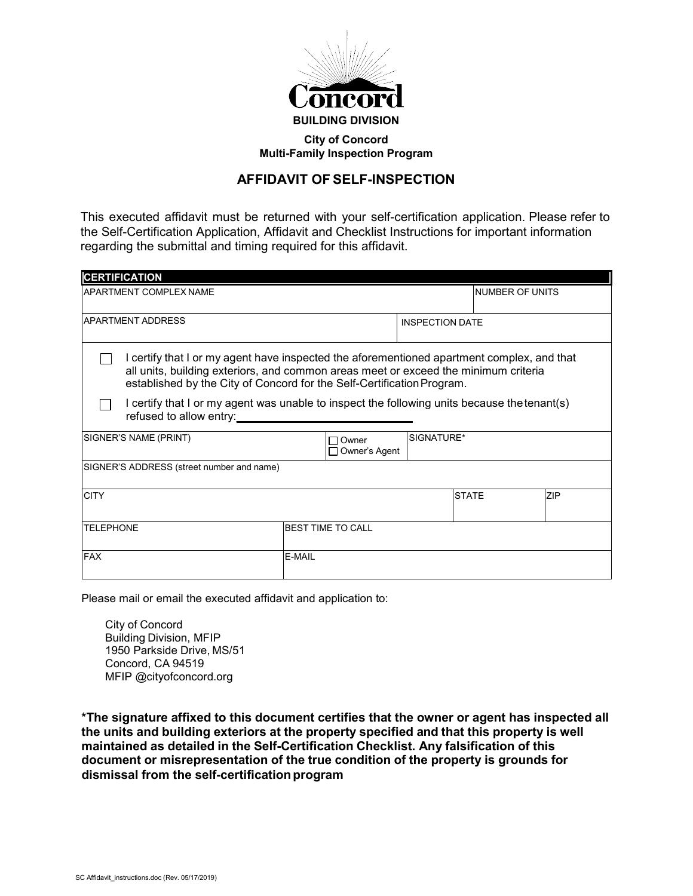

### **City of Concord Multi-Family Inspection Program**

# **AFFIDAVIT OF SELF-INSPECTION**

This executed affidavit must be returned with your self-certification application. Please refer to the Self-Certification Application, Affidavit and Checklist Instructions for important information regarding the submittal and timing required for this affidavit.

| <b>CERTIFICATION</b>                                                                                                                                                                                                                                        |        |                          |              |  |     |
|-------------------------------------------------------------------------------------------------------------------------------------------------------------------------------------------------------------------------------------------------------------|--------|--------------------------|--------------|--|-----|
| APARTMENT COMPLEX NAME                                                                                                                                                                                                                                      |        | INUMBER OF UNITS         |              |  |     |
| <b>APARTMENT ADDRESS</b>                                                                                                                                                                                                                                    |        | <b>INSPECTION DATE</b>   |              |  |     |
| I certify that I or my agent have inspected the aforementioned apartment complex, and that<br>all units, building exteriors, and common areas meet or exceed the minimum criteria<br>established by the City of Concord for the Self-Certification Program. |        |                          |              |  |     |
| I certify that I or my agent was unable to inspect the following units because the tenant(s)<br>refused to allow entry:                                                                                                                                     |        |                          |              |  |     |
| SIGNER'S NAME (PRINT)                                                                                                                                                                                                                                       |        | Owner<br>Owner's Agent   | SIGNATURE*   |  |     |
| SIGNER'S ADDRESS (street number and name)                                                                                                                                                                                                                   |        |                          |              |  |     |
| <b>CITY</b>                                                                                                                                                                                                                                                 |        |                          | <b>STATE</b> |  | ZIP |
| <b>TELEPHONE</b>                                                                                                                                                                                                                                            |        | <b>BEST TIME TO CALL</b> |              |  |     |
| <b>FAX</b>                                                                                                                                                                                                                                                  | E-MAIL |                          |              |  |     |

Please mail or email the executed affidavit and application to:

City of Concord Building Division, MFIP 1950 Parkside Drive, MS/51 Concord, CA 94519 MFIP @cityofconcord.org

**\*The signature affixed to this document certifies that the owner or agent has inspected all the units and building exteriors at the property specified and that this property is well maintained as detailed in the Self-Certification Checklist. Any falsification of this document or misrepresentation of the true condition of the property is grounds for dismissal from the self-certificationprogram**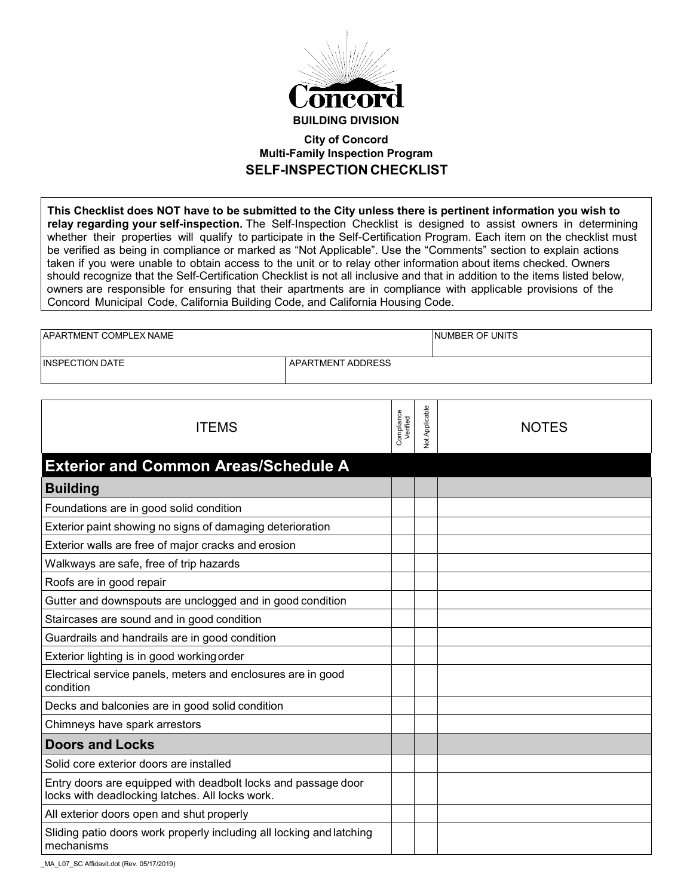

### **City of Concord Multi-Family Inspection Program SELF-INSPECTION CHECKLIST**

**This Checklist does NOT have to be submitted to the City unless there is pertinent information you wish to relay regarding your self-inspection.** The Self-Inspection Checklist is designed to assist owners in determining whether their properties will qualify to participate in the Self-Certification Program. Each item on the checklist must be verified as being in compliance or marked as "Not Applicable". Use the "Comments" section to explain actions taken if you were unable to obtain access to the unit or to relay other information about items checked. Owners should recognize that the Self-Certification Checklist is not all inclusive and that in addition to the items listed below, owners are responsible for ensuring that their apartments are in compliance with applicable provisions of the Concord Municipal Code, California Building Code, and California Housing Code.

| <b>APARTMENT COMPLEX NAME</b> |                   | <b>NUMBER OF UNITS</b> |
|-------------------------------|-------------------|------------------------|
| <b>IINSPECTION DATE</b>       | APARTMENT ADDRESS |                        |

| <b>ITEMS</b>                                                                                                     | Compliance<br>Verified | Not Applicable | <b>NOTES</b> |
|------------------------------------------------------------------------------------------------------------------|------------------------|----------------|--------------|
| <b>Exterior and Common Areas/Schedule A</b>                                                                      |                        |                |              |
| <b>Building</b>                                                                                                  |                        |                |              |
| Foundations are in good solid condition                                                                          |                        |                |              |
| Exterior paint showing no signs of damaging deterioration                                                        |                        |                |              |
| Exterior walls are free of major cracks and erosion                                                              |                        |                |              |
| Walkways are safe, free of trip hazards                                                                          |                        |                |              |
| Roofs are in good repair                                                                                         |                        |                |              |
| Gutter and downspouts are unclogged and in good condition                                                        |                        |                |              |
| Staircases are sound and in good condition                                                                       |                        |                |              |
| Guardrails and handrails are in good condition                                                                   |                        |                |              |
| Exterior lighting is in good working order                                                                       |                        |                |              |
| Electrical service panels, meters and enclosures are in good<br>condition                                        |                        |                |              |
| Decks and balconies are in good solid condition                                                                  |                        |                |              |
| Chimneys have spark arrestors                                                                                    |                        |                |              |
| <b>Doors and Locks</b>                                                                                           |                        |                |              |
| Solid core exterior doors are installed                                                                          |                        |                |              |
| Entry doors are equipped with deadbolt locks and passage door<br>locks with deadlocking latches. All locks work. |                        |                |              |
| All exterior doors open and shut properly                                                                        |                        |                |              |
| Sliding patio doors work properly including all locking and latching<br>mechanisms                               |                        |                |              |

MA\_L07\_SC Affidavit.dot (Rev. 05/17/2019)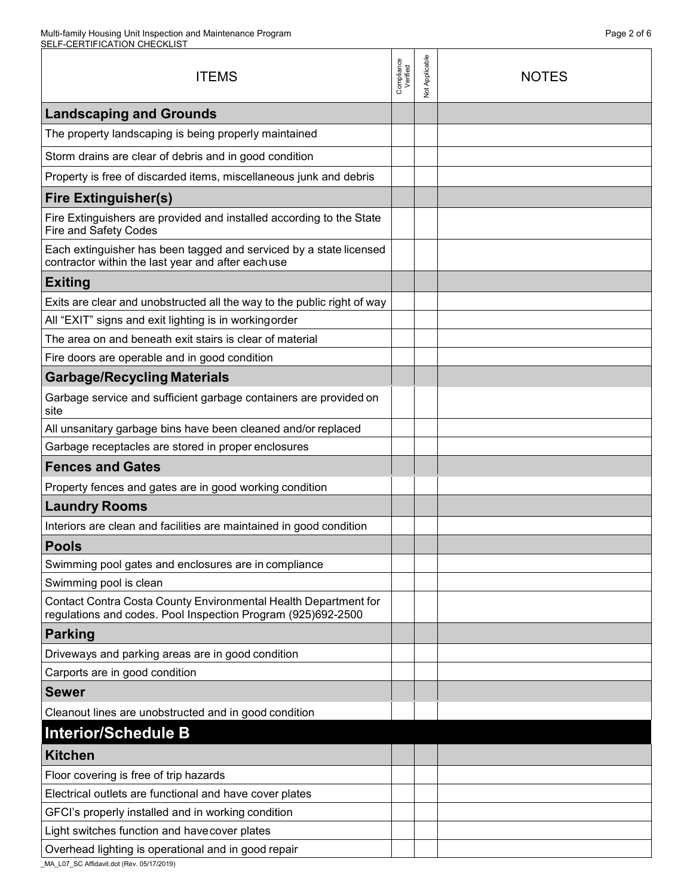| <b>ITEMS</b>                                                                                                                    | Compliance<br>Verified | <b>Vot Applicable</b> | <b>NOTES</b> |
|---------------------------------------------------------------------------------------------------------------------------------|------------------------|-----------------------|--------------|
| <b>Landscaping and Grounds</b>                                                                                                  |                        |                       |              |
| The property landscaping is being properly maintained                                                                           |                        |                       |              |
| Storm drains are clear of debris and in good condition                                                                          |                        |                       |              |
| Property is free of discarded items, miscellaneous junk and debris                                                              |                        |                       |              |
| <b>Fire Extinguisher(s)</b>                                                                                                     |                        |                       |              |
| Fire Extinguishers are provided and installed according to the State<br><b>Fire and Safety Codes</b>                            |                        |                       |              |
| Each extinguisher has been tagged and serviced by a state licensed<br>contractor within the last year and after eachuse         |                        |                       |              |
| <b>Exiting</b>                                                                                                                  |                        |                       |              |
| Exits are clear and unobstructed all the way to the public right of way                                                         |                        |                       |              |
| All "EXIT" signs and exit lighting is in working order                                                                          |                        |                       |              |
| The area on and beneath exit stairs is clear of material                                                                        |                        |                       |              |
| Fire doors are operable and in good condition                                                                                   |                        |                       |              |
| <b>Garbage/Recycling Materials</b>                                                                                              |                        |                       |              |
| Garbage service and sufficient garbage containers are provided on<br>site                                                       |                        |                       |              |
| All unsanitary garbage bins have been cleaned and/or replaced                                                                   |                        |                       |              |
| Garbage receptacles are stored in proper enclosures                                                                             |                        |                       |              |
| <b>Fences and Gates</b>                                                                                                         |                        |                       |              |
| Property fences and gates are in good working condition                                                                         |                        |                       |              |
| <b>Laundry Rooms</b>                                                                                                            |                        |                       |              |
| Interiors are clean and facilities are maintained in good condition                                                             |                        |                       |              |
| <b>Pools</b>                                                                                                                    |                        |                       |              |
| Swimming pool gates and enclosures are in compliance                                                                            |                        |                       |              |
| Swimming pool is clean                                                                                                          |                        |                       |              |
| Contact Contra Costa County Environmental Health Department for<br>regulations and codes. Pool Inspection Program (925)692-2500 |                        |                       |              |
| <b>Parking</b>                                                                                                                  |                        |                       |              |
| Driveways and parking areas are in good condition                                                                               |                        |                       |              |
| Carports are in good condition                                                                                                  |                        |                       |              |
| <b>Sewer</b>                                                                                                                    |                        |                       |              |
| Cleanout lines are unobstructed and in good condition                                                                           |                        |                       |              |
| <b>Interior/Schedule B</b>                                                                                                      |                        |                       |              |
| <b>Kitchen</b>                                                                                                                  |                        |                       |              |
| Floor covering is free of trip hazards                                                                                          |                        |                       |              |
| Electrical outlets are functional and have cover plates                                                                         |                        |                       |              |
| GFCI's properly installed and in working condition                                                                              |                        |                       |              |
| Light switches function and have cover plates                                                                                   |                        |                       |              |
| Overhead lighting is operational and in good repair                                                                             |                        |                       |              |

\_MA\_L07\_SC Affidavit.dot (Rev. 05/17/2019)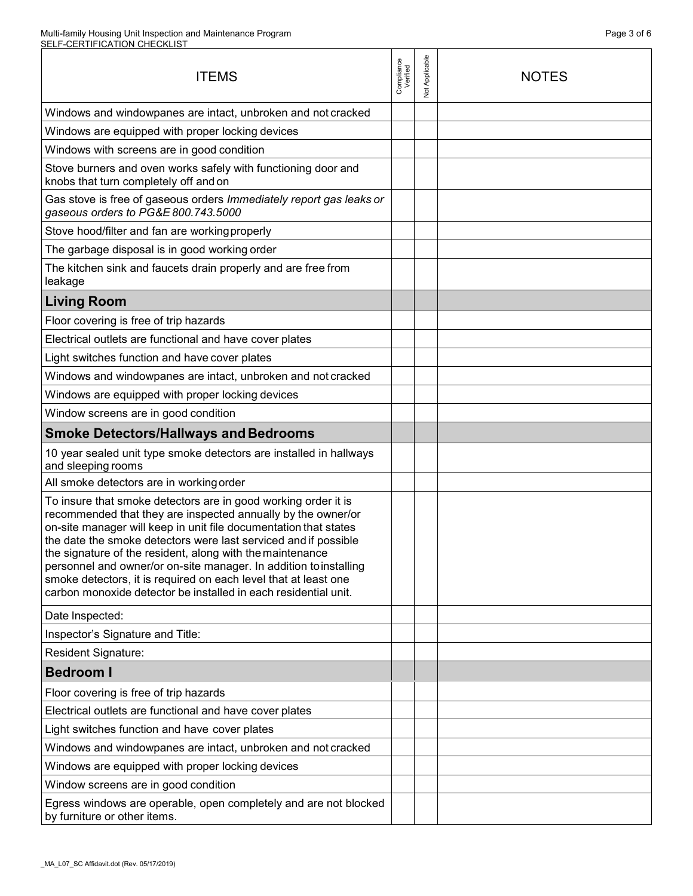#### Multi-family Housing Unit Inspection and Maintenance Program SELF-CERTIFICATION CHECKLIST

| <b>ITEMS</b>                                                                                                                                                                                                                                                                                                                                                                                                                                                                                                                                  | Compliance<br>Verified | Not Applicable | <b>NOTES</b> |
|-----------------------------------------------------------------------------------------------------------------------------------------------------------------------------------------------------------------------------------------------------------------------------------------------------------------------------------------------------------------------------------------------------------------------------------------------------------------------------------------------------------------------------------------------|------------------------|----------------|--------------|
| Windows and windowpanes are intact, unbroken and not cracked                                                                                                                                                                                                                                                                                                                                                                                                                                                                                  |                        |                |              |
| Windows are equipped with proper locking devices                                                                                                                                                                                                                                                                                                                                                                                                                                                                                              |                        |                |              |
| Windows with screens are in good condition                                                                                                                                                                                                                                                                                                                                                                                                                                                                                                    |                        |                |              |
| Stove burners and oven works safely with functioning door and<br>knobs that turn completely off and on                                                                                                                                                                                                                                                                                                                                                                                                                                        |                        |                |              |
| Gas stove is free of gaseous orders Immediately report gas leaks or<br>gaseous orders to PG&E 800.743.5000                                                                                                                                                                                                                                                                                                                                                                                                                                    |                        |                |              |
| Stove hood/filter and fan are working properly                                                                                                                                                                                                                                                                                                                                                                                                                                                                                                |                        |                |              |
| The garbage disposal is in good working order                                                                                                                                                                                                                                                                                                                                                                                                                                                                                                 |                        |                |              |
| The kitchen sink and faucets drain properly and are free from<br>leakage                                                                                                                                                                                                                                                                                                                                                                                                                                                                      |                        |                |              |
| <b>Living Room</b>                                                                                                                                                                                                                                                                                                                                                                                                                                                                                                                            |                        |                |              |
| Floor covering is free of trip hazards                                                                                                                                                                                                                                                                                                                                                                                                                                                                                                        |                        |                |              |
| Electrical outlets are functional and have cover plates                                                                                                                                                                                                                                                                                                                                                                                                                                                                                       |                        |                |              |
| Light switches function and have cover plates                                                                                                                                                                                                                                                                                                                                                                                                                                                                                                 |                        |                |              |
| Windows and windowpanes are intact, unbroken and not cracked                                                                                                                                                                                                                                                                                                                                                                                                                                                                                  |                        |                |              |
| Windows are equipped with proper locking devices                                                                                                                                                                                                                                                                                                                                                                                                                                                                                              |                        |                |              |
| Window screens are in good condition                                                                                                                                                                                                                                                                                                                                                                                                                                                                                                          |                        |                |              |
| <b>Smoke Detectors/Hallways and Bedrooms</b>                                                                                                                                                                                                                                                                                                                                                                                                                                                                                                  |                        |                |              |
| 10 year sealed unit type smoke detectors are installed in hallways<br>and sleeping rooms                                                                                                                                                                                                                                                                                                                                                                                                                                                      |                        |                |              |
| All smoke detectors are in working order                                                                                                                                                                                                                                                                                                                                                                                                                                                                                                      |                        |                |              |
| To insure that smoke detectors are in good working order it is<br>recommended that they are inspected annually by the owner/or<br>on-site manager will keep in unit file documentation that states<br>the date the smoke detectors were last serviced and if possible<br>the signature of the resident, along with the maintenance<br>personnel and owner/or on-site manager. In addition to installing<br>smoke detectors, it is required on each level that at least one<br>carbon monoxide detector be installed in each residential unit. |                        |                |              |
| Date Inspected:                                                                                                                                                                                                                                                                                                                                                                                                                                                                                                                               |                        |                |              |
| Inspector's Signature and Title:                                                                                                                                                                                                                                                                                                                                                                                                                                                                                                              |                        |                |              |
| Resident Signature:                                                                                                                                                                                                                                                                                                                                                                                                                                                                                                                           |                        |                |              |
| <b>Bedroom I</b>                                                                                                                                                                                                                                                                                                                                                                                                                                                                                                                              |                        |                |              |
| Floor covering is free of trip hazards                                                                                                                                                                                                                                                                                                                                                                                                                                                                                                        |                        |                |              |
| Electrical outlets are functional and have cover plates                                                                                                                                                                                                                                                                                                                                                                                                                                                                                       |                        |                |              |
| Light switches function and have cover plates                                                                                                                                                                                                                                                                                                                                                                                                                                                                                                 |                        |                |              |
| Windows and windowpanes are intact, unbroken and not cracked                                                                                                                                                                                                                                                                                                                                                                                                                                                                                  |                        |                |              |
| Windows are equipped with proper locking devices                                                                                                                                                                                                                                                                                                                                                                                                                                                                                              |                        |                |              |
| Window screens are in good condition                                                                                                                                                                                                                                                                                                                                                                                                                                                                                                          |                        |                |              |
| Egress windows are operable, open completely and are not blocked<br>by furniture or other items.                                                                                                                                                                                                                                                                                                                                                                                                                                              |                        |                |              |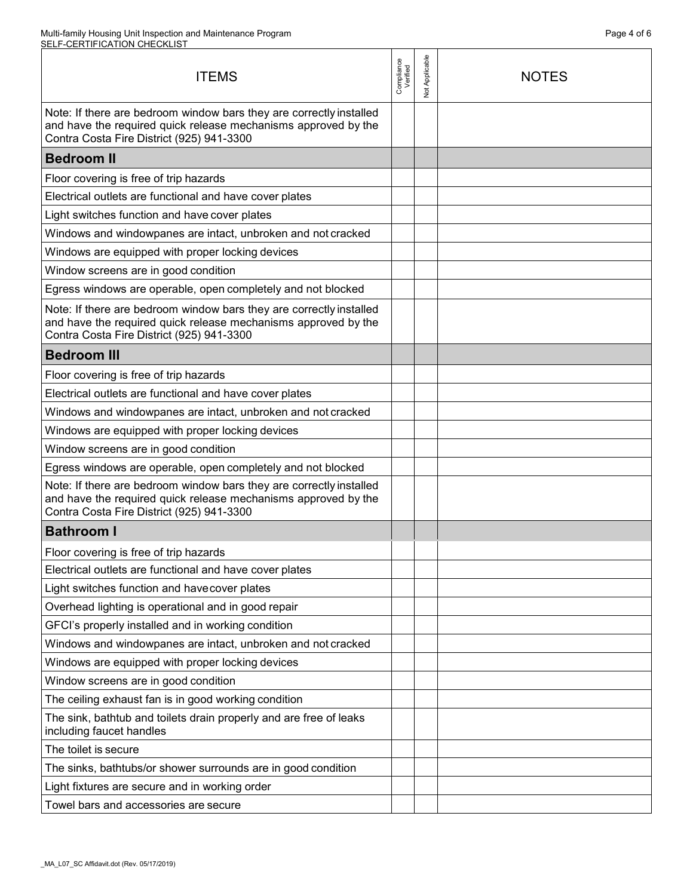| <b>ITEMS</b>                                                                                                                                                                       | Compliance<br>Verified | <b>Vot Applicable</b> | <b>NOTES</b> |
|------------------------------------------------------------------------------------------------------------------------------------------------------------------------------------|------------------------|-----------------------|--------------|
| Note: If there are bedroom window bars they are correctly installed<br>and have the required quick release mechanisms approved by the<br>Contra Costa Fire District (925) 941-3300 |                        |                       |              |
| <b>Bedroom II</b>                                                                                                                                                                  |                        |                       |              |
| Floor covering is free of trip hazards                                                                                                                                             |                        |                       |              |
| Electrical outlets are functional and have cover plates                                                                                                                            |                        |                       |              |
| Light switches function and have cover plates                                                                                                                                      |                        |                       |              |
| Windows and windowpanes are intact, unbroken and not cracked                                                                                                                       |                        |                       |              |
| Windows are equipped with proper locking devices                                                                                                                                   |                        |                       |              |
| Window screens are in good condition                                                                                                                                               |                        |                       |              |
| Egress windows are operable, open completely and not blocked                                                                                                                       |                        |                       |              |
| Note: If there are bedroom window bars they are correctly installed<br>and have the required quick release mechanisms approved by the<br>Contra Costa Fire District (925) 941-3300 |                        |                       |              |
| <b>Bedroom III</b>                                                                                                                                                                 |                        |                       |              |
| Floor covering is free of trip hazards                                                                                                                                             |                        |                       |              |
| Electrical outlets are functional and have cover plates                                                                                                                            |                        |                       |              |
| Windows and windowpanes are intact, unbroken and not cracked                                                                                                                       |                        |                       |              |
| Windows are equipped with proper locking devices                                                                                                                                   |                        |                       |              |
| Window screens are in good condition                                                                                                                                               |                        |                       |              |
| Egress windows are operable, open completely and not blocked                                                                                                                       |                        |                       |              |
| Note: If there are bedroom window bars they are correctly installed<br>and have the required quick release mechanisms approved by the<br>Contra Costa Fire District (925) 941-3300 |                        |                       |              |
| <b>Bathroom I</b>                                                                                                                                                                  |                        |                       |              |
| Floor covering is free of trip hazards                                                                                                                                             |                        |                       |              |
| Electrical outlets are functional and have cover plates                                                                                                                            |                        |                       |              |
| Light switches function and have cover plates                                                                                                                                      |                        |                       |              |
| Overhead lighting is operational and in good repair                                                                                                                                |                        |                       |              |
| GFCI's properly installed and in working condition                                                                                                                                 |                        |                       |              |
| Windows and windowpanes are intact, unbroken and not cracked                                                                                                                       |                        |                       |              |
| Windows are equipped with proper locking devices                                                                                                                                   |                        |                       |              |
| Window screens are in good condition                                                                                                                                               |                        |                       |              |
| The ceiling exhaust fan is in good working condition                                                                                                                               |                        |                       |              |
| The sink, bathtub and toilets drain properly and are free of leaks<br>including faucet handles                                                                                     |                        |                       |              |
| The toilet is secure                                                                                                                                                               |                        |                       |              |
| The sinks, bathtubs/or shower surrounds are in good condition                                                                                                                      |                        |                       |              |
| Light fixtures are secure and in working order                                                                                                                                     |                        |                       |              |
| Towel bars and accessories are secure                                                                                                                                              |                        |                       |              |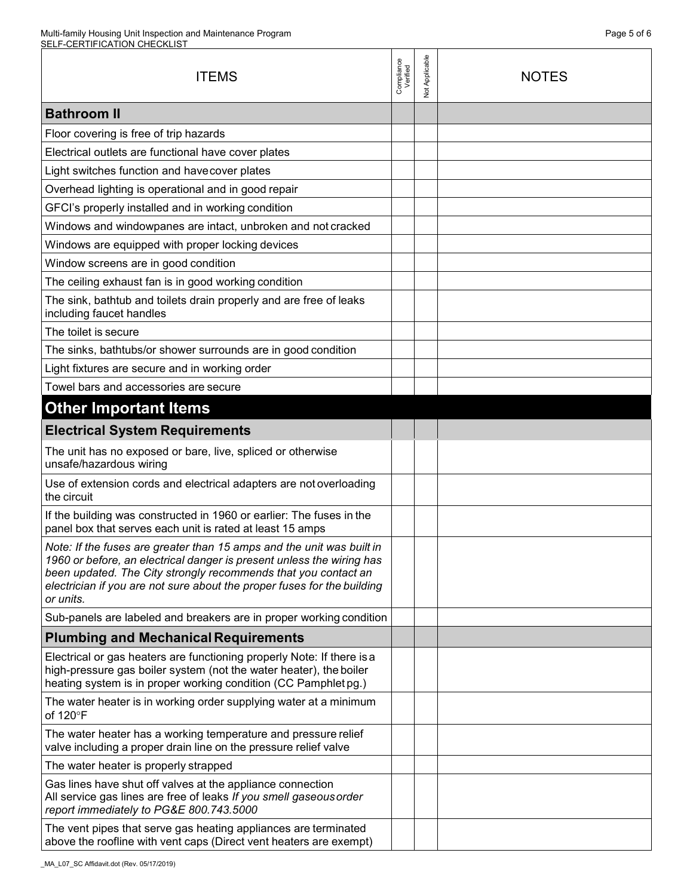| <b>ITEMS</b>                                                                                                                                                                                                                                                                                             | Compliance<br>Verified | <b>Vot Applicable</b> | <b>NOTES</b> |
|----------------------------------------------------------------------------------------------------------------------------------------------------------------------------------------------------------------------------------------------------------------------------------------------------------|------------------------|-----------------------|--------------|
| <b>Bathroom II</b>                                                                                                                                                                                                                                                                                       |                        |                       |              |
| Floor covering is free of trip hazards                                                                                                                                                                                                                                                                   |                        |                       |              |
| Electrical outlets are functional have cover plates                                                                                                                                                                                                                                                      |                        |                       |              |
| Light switches function and have cover plates                                                                                                                                                                                                                                                            |                        |                       |              |
| Overhead lighting is operational and in good repair                                                                                                                                                                                                                                                      |                        |                       |              |
| GFCI's properly installed and in working condition                                                                                                                                                                                                                                                       |                        |                       |              |
| Windows and windowpanes are intact, unbroken and not cracked                                                                                                                                                                                                                                             |                        |                       |              |
| Windows are equipped with proper locking devices                                                                                                                                                                                                                                                         |                        |                       |              |
| Window screens are in good condition                                                                                                                                                                                                                                                                     |                        |                       |              |
| The ceiling exhaust fan is in good working condition                                                                                                                                                                                                                                                     |                        |                       |              |
| The sink, bathtub and toilets drain properly and are free of leaks<br>including faucet handles                                                                                                                                                                                                           |                        |                       |              |
| The toilet is secure                                                                                                                                                                                                                                                                                     |                        |                       |              |
| The sinks, bathtubs/or shower surrounds are in good condition                                                                                                                                                                                                                                            |                        |                       |              |
| Light fixtures are secure and in working order                                                                                                                                                                                                                                                           |                        |                       |              |
| Towel bars and accessories are secure                                                                                                                                                                                                                                                                    |                        |                       |              |
| <b>Other Important Items</b>                                                                                                                                                                                                                                                                             |                        |                       |              |
| <b>Electrical System Requirements</b>                                                                                                                                                                                                                                                                    |                        |                       |              |
| The unit has no exposed or bare, live, spliced or otherwise<br>unsafe/hazardous wiring                                                                                                                                                                                                                   |                        |                       |              |
| Use of extension cords and electrical adapters are not overloading<br>the circuit                                                                                                                                                                                                                        |                        |                       |              |
| If the building was constructed in 1960 or earlier: The fuses in the<br>panel box that serves each unit is rated at least 15 amps                                                                                                                                                                        |                        |                       |              |
| Note: If the fuses are greater than 15 amps and the unit was built in<br>1960 or before, an electrical danger is present unless the wiring has<br>been updated. The City strongly recommends that you contact an<br>electrician if you are not sure about the proper fuses for the building<br>or units. |                        |                       |              |
| Sub-panels are labeled and breakers are in proper working condition                                                                                                                                                                                                                                      |                        |                       |              |
| <b>Plumbing and Mechanical Requirements</b>                                                                                                                                                                                                                                                              |                        |                       |              |
| Electrical or gas heaters are functioning properly Note: If there is a<br>high-pressure gas boiler system (not the water heater), the boiler<br>heating system is in proper working condition (CC Pamphlet pg.)                                                                                          |                        |                       |              |
| The water heater is in working order supplying water at a minimum<br>of 120°F                                                                                                                                                                                                                            |                        |                       |              |
| The water heater has a working temperature and pressure relief<br>valve including a proper drain line on the pressure relief valve                                                                                                                                                                       |                        |                       |              |
| The water heater is properly strapped                                                                                                                                                                                                                                                                    |                        |                       |              |
| Gas lines have shut off valves at the appliance connection<br>All service gas lines are free of leaks If you smell gaseous order<br>report immediately to PG&E 800.743.5000                                                                                                                              |                        |                       |              |
| The vent pipes that serve gas heating appliances are terminated<br>above the roofline with vent caps (Direct vent heaters are exempt)                                                                                                                                                                    |                        |                       |              |